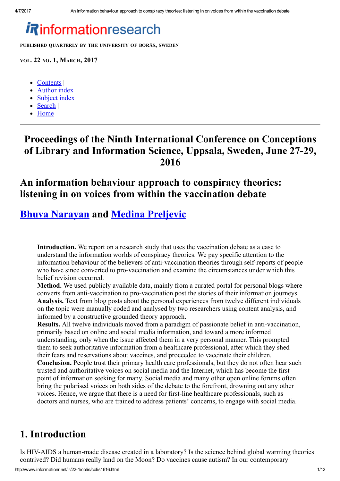# *i R*informationresearch

PUBLISHED QUARTERLY BY THE UNIVERSITY OF BORÅS, SWEDEN

VOL. 22 NO. 1, MARCH, 2017

- [Contents](http://www.informationr.net/ir/22-1/colis/colis2016.html)
- [Author](http://www.informationr.net/ir/iraindex.html) index
- [Subject](http://www.informationr.net/ir/irsindex.html) index |
- [Search](http://www.informationr.net/ir/search.html) |
- [Home](http://www.informationr.net/ir/index.html)

## Proceedings of the Ninth International Conference on Conceptions of Library and Information Science, Uppsala, Sweden, June 27-29, 2016

## An information behaviour approach to conspiracy theories: listening in on voices from within the vaccination debate

## Bhuva [Narayan](#page-8-0) and Medina [Preljevic](#page-8-0)

Introduction. We report on a research study that uses the vaccination debate as a case to understand the information worlds of conspiracy theories. We pay specific attention to the information behaviour of the believers of anti-vaccination theories through self-reports of people who have since converted to pro-vaccination and examine the circumstances under which this belief revision occurred.

Method. We used publicly available data, mainly from a curated portal for personal blogs where converts from anti-vaccination to pro-vaccination post the stories of their information journeys. Analysis. Text from blog posts about the personal experiences from twelve different individuals on the topic were manually coded and analysed by two researchers using content analysis, and informed by a constructive grounded theory approach.

Results. All twelve individuals moved from a paradigm of passionate belief in anti-vaccination, primarily based on online and social media information, and toward a more informed understanding, only when the issue affected them in a very personal manner. This prompted them to seek authoritative information from a healthcare professional, after which they shed their fears and reservations about vaccines, and proceeded to vaccinate their children.

Conclusion. People trust their primary health care professionals, but they do not often hear such trusted and authoritative voices on social media and the Internet, which has become the first point of information seeking for many. Social media and many other open online forums often bring the polarised voices on both sides of the debate to the forefront, drowning out any other voices. Hence, we argue that there is a need for first-line healthcare professionals, such as doctors and nurses, who are trained to address patients' concerns, to engage with social media.

## 1. Introduction

Is HIV-AIDS a human-made disease created in a laboratory? Is the science behind global warming theories contrived? Did humans really land on the Moon? Do vaccines cause autism? In our contemporary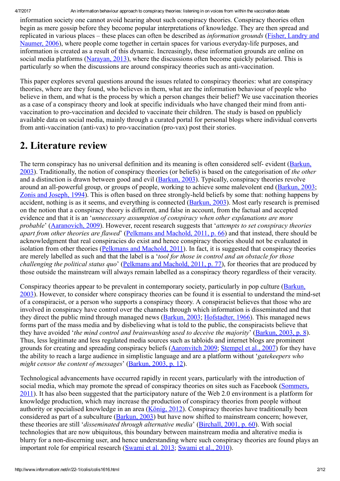4/7/2017 An information behaviour approach to conspiracy theories: listening in on voices from within the vaccination debate

information society one cannot avoid hearing about such conspiracy theories. Conspiracy theories often begin as mere gossip before they become popular interpretations of knowledge. They are then spread and replicated in various places – these places can often be described as *information grounds* (Fisher, Landry and Naumer, 2006), where people come together in certain spaces for various everyday-life purposes, and information is created as a result of this dynamic. Increasingly, these information grounds are online on social media platforms [\(Narayan,](#page-10-0) 2013), where the discussions often become quickly polarised. This is particularly so when the discussions are around conspiracy theories such as anti-vaccination.

This paper explores several questions around the issues related to conspiracy theories: what are conspiracy theories, where are they found, who believes in them, what are the information behaviour of people who believe in them, and what is the process by which a person changes their belief? We use vaccination theories as a case of a conspiracy theory and look at specific individuals who have changed their mind from antivaccination to pro-vaccination and decided to vaccinate their children. The study is based on ppublicly available data on social media, mainly through a curated portal for personal blogs where individual converts from anti-vaccination (anti-vax) to pro-vaccination (pro-vax) post their stories.

## 2. Literature review

The term conspiracy has no universal definition and its meaning is often considered self-evident (Barkun, 2003). Traditionally, the notion of conspiracy theories (or beliefs) is based on the [categorisation](#page-8-1) of *the other* and a distinction is drawn between good and evil ([Barkun,](#page-8-1) 2003). Typically, conspiracy theories revolve around an all-powerful group, or groups of people, working to achieve some malevolent end ([Barkun,](#page-8-1) 2003; Zonis and [Joseph,](#page-10-1) 1994). This is often based on three strongly-held beliefs by some that: nothing happens by accident, nothing is as it seems, and everything is connected [\(Barkun,](#page-8-1) 2003). Most early research is premised on the notion that a conspiracy theory is different, and false in account, from the factual and accepted evidence and that it is an '*unnecessary assumption of conspiracy when other explanations are more probable*' ([Aaranovich,](#page-8-2) 2009). However, recent research suggests that '*attempts to set conspiracy theories apart from other theories are flawed*' ([Pelkmans](#page-10-2) and Machold, 2011, p. 66) and that instead, there should be acknowledgment that real conspiracies do exist and hence conspiracy theories should not be evaluated in isolation from other theories [\(Pelkmans](#page-10-2) and Machold, 2011). In fact, it is suggested that conspiracy theories are merely labelled as such and that the label is a '*tool for those in control and an obstacle for those challenging the political status quo*' [\(Pelkmans](#page-10-2) and Machold, 2011, p. 77), for theories that are produced by those outside the mainstream will always remain labelled as a conspiracy theory regardless of their veracity.

Conspiracy theories appear to be prevalent in [contemporary](#page-8-1) society, particularly in pop culture (Barkun, 2003). However, to consider where conspiracy theories can be found it is essential to understand the mind-set of a conspiracist, or a person who supports a conspiracy theory. A conspiracist believes that those who are involved in conspiracy have control over the channels through which information is disseminated and that they direct the public mind through managed news ([Barkun,](#page-8-1) 2003; [Hofstadter,](#page-9-1) 1966). This managed news forms part of the mass media and by disbelieving what is told to the public, the conspiracists believe that they have avoided '*the mind control and brainwashing used to deceive the majority*' ([Barkun,](#page-8-1) 2003, p. 8). Thus, less legitimate and less regulated media sources such as tabloids and internet blogs are prominent grounds for creating and spreading conspiracy beliefs [\(Aaronvitch](#page-8-2) 2009; [Stempel](#page-10-3) et al., 2007) for they have the ability to reach a large audience in simplistic language and are a platform without '*gatekeepers who might censor the content of messages*' [\(Barkun,](#page-8-1) 2003, p. 12).

Technological advancements have occurred rapidly in recent years, particularly with the introduction of social media, which may promote the spread of conspiracy theories on sites such as Facebook (Sommers, 2011). It has also been suggested that the [participatory](#page-10-4) nature of the Web 2.0 environment is a platform for knowledge production, which may increase the production of conspiracy theories from people without authority or specialised knowledge in an area [\(König,](#page-10-5) 2012). Conspiracy theories have traditionally been considered as part of a subculture [\(Barkun,](#page-8-1) 2003) but have now shifted to mainstream concern; however, these theories are still '*disseminated through alternative media*' ([Birchall,](#page-8-3) 2001, p. 60). With social technologies that are now ubiquitous, this boundary between mainstream media and alterative media is blurry for a non-discerning user, and hence understanding where such conspiracy theories are found plays an important role for empirical research ([Swami](#page-10-6) et al. 2013; [Swami](#page-10-7) et al., 2010).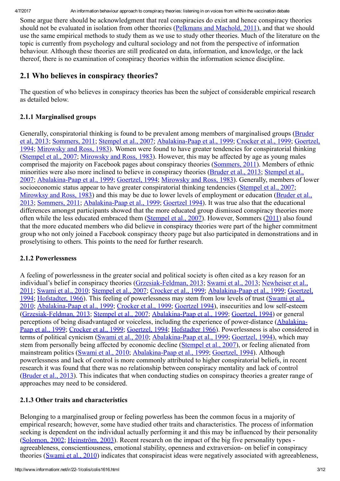Some argue there should be acknowledgment that real conspiracies do exist and hence conspiracy theories should not be evaluated in isolation from other theories [\(Pelkmans](#page-10-2) and Machold, 2011), and that we should use the same empirical methods to study them as we use to study other theories. Much of the literature on the topic is currently from psychology and cultural sociology and not from the perspective of information behaviour. Although these theories are still predicated on data, information, and knowledge, or the lack thereof, there is no examination of conspiracy theories within the information science discipline.

### 2.1 Who believes in conspiracy theories?

The question of who believes in conspiracy theories has been the subject of considerable empirical research as detailed below.

#### 2.1.1 Marginalised groups

Generally, conspiratorial thinking is found to be prevalent among members of marginalised groups (Bruder et al, 2013; [Sommers,](#page-10-4) 2011; [Stempel](#page-10-3) et al., 2007; Abalakina-Paap et al., 1999; [Crocker](#page-9-3) et al., 1999; Goertzel, 1994; [Mirowsky](#page-10-8) and Ross, 1983). Women were found to have greater tendencies for conspiratorial thinking [\(Stempel](#page-10-3) et al., 2007; [Mirowsky](#page-10-8) and Ross, 1983). However, this may be affected by age as young males comprised the majority on Facebook pages about conspiracy theories [\(Sommers,](#page-10-4) 2011). Members of ethnic minorities were also more inclined to believe in conspiracy theories [\(Bruder](#page-9-2) et al., 2013; Stempel et al., 2007; Abalakina-Paap et al., 1999; [Goertzel,](#page-9-4) 1994; [Mirowsky](#page-10-8) and Ross, 1983). Generally, members of lower socioeconomic status appear to have greater conspiratorial thinking tendencies [\(Stempel](#page-10-3) et al., 2007; [Mirowksy](#page-10-8) and Ross, 1983) and this may be due to lower levels of employment or education (Bruder et al., 2013; [Sommers,](#page-10-4) 2011; Abalakina-Paap et al., 1999; [Goertzel](#page-9-4) 1994). It was true also that the educational differences amongst participants showed that the more educated group dismissed conspiracy theories more often while the less educated embraced them [\(Stempel](#page-10-3) et al., 2007). However, Sommers ([2011](#page-10-4)) also found that the more educated members who did believe in conspiracy theories were part of the higher commitment group who not only joined a Facebook conspiracy theory page but also participated in demonstrations and in proselytising to others. This points to the need for further research.

#### 2.1.2 Powerlessness

A feeling of powerlessness in the greater social and political society is often cited as a key reason for an individual's belief in conspiracy theories [\(G](#page-10-9)rzesiak-Feldman, 2013; [Swami](#page-10-6) et al., 2013; Newheiser et al. 2011; [Swami](#page-10-7) et al., 2010; [Stempel](#page-10-3) et al., 2007; [Crocker](#page-9-3) et al., 1999; Abalakina-Paap et al., 1999; Goertzel, 1994; [Hofstadter,](#page-9-1) 1966). This feeling of powerlessness may stem from low levels of trust (Swami et al., 2010; Abalakina-Paap et al., 1999; [Crocker](#page-9-3) et al., 1999; [Goertzel](#page-9-4) 1994), insecurities and low self-esteem (Grzesiak-Feldman, 2013; [Stempel](#page-10-3) et al., 2007; Abalakina-Paap et al., 1999; [Goertzel,](#page-9-4) 1994) or general perceptions of being disadvantaged or voiceless, including the experience of power-distance (Abalakina-Paap et al., 1999; [Crocker](#page-9-3) et al., 1999; [Goertzel,](#page-9-4) 1994; [Hofstadter](#page-9-1) 1966). Powerlessness is also considered in terms of political cynicism [\(Swami](#page-10-7) et al., 2010; Abalakina-Paap et al., 1999; [Goertzel,](#page-9-4) 1994), which may stem from personally being affected by economic decline [\(Stempel](#page-10-3) et al., 2007), or feeling alienated from mainstream politics [\(Swami](#page-10-7) et al., 2010; Abalakina-Paap et al., 1999; [Goertzel,](#page-9-4) 1994). Although powerlessness and lack of control is more commonly attributed to higher conspiratorial beliefs, in recent research it was found that there was no relationship between conspiracy mentality and lack of control [\(Bruder](#page-9-2) et al., 2013). This indicates that when conducting studies on conspiracy theories a greater range of approaches may need to be considered.

#### 2.1.3 Other traits and characteristics

Belonging to a marginalised group or feeling powerless has been the common focus in a majority of empirical research; however, some have studied other traits and characteristics. The process of information seeking is dependent on the individual actually performing it and this may be influenced by their personality [\(Solomon,](#page-10-10) 2002; [Heinström,](#page-9-6) 2003). Recent research on the impact of the big five personality types agreeableness, conscientiousness, emotional stability, openness and extraversion- on belief in conspiracy theories [\(Swami](#page-10-7) et al., 2010) indicates that conspiracist ideas were negatively associated with agreeableness,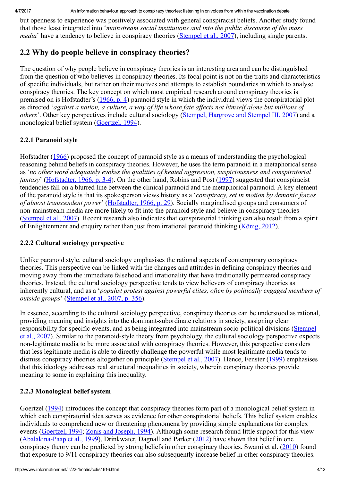4/7/2017 An information behaviour approach to conspiracy theories: listening in on voices from within the vaccination debate

but openness to experience was positively associated with general conspiracist beliefs. Another study found that those least integrated into '*mainstream social institutions and into the public discourse of the mass media*' have a tendency to believe in conspiracy theories [\(Stempel](#page-10-3) et al., 2007), including single parents.

### 2.2 Why do people believe in conspiracy theories?

The question of why people believe in conspiracy theories is an interesting area and can be distinguished from the question of who believes in conspiracy theories. Its focal point is not on the traits and characteristics of specific individuals, but rather on their motives and attempts to establish boundaries in which to analyse conspiracy theories. The key concept on which most empirical research around conspiracy theories is premised on is Hofstadter's [\(1966,](#page-9-1) p. 4) paranoid style in which the individual views the conspiratorial plot as directed 'against a nation, a culture, a way of life whose fate affects not himself alone but millions of *others*'. Other key perspectives include cultural sociology (Stempel, [Hargrove](#page-10-3) and Stempel III, 2007) and a monological belief system ([Goertzel,](#page-9-4) 1994).

### 2.2.1 Paranoid style

Hofstadter ([1966\)](#page-9-1) proposed the concept of paranoid style as a means of understanding the psychological reasoning behind beliefs in conspiracy theories. However, he uses the term paranoid in a metaphorical sense as '*no other word adequately evokes the qualities of heated aggression, suspiciousness and conspiratorial fantasy*' ([Hofstadter,](#page-9-1) 1966, p. 3-4). On the other hand, Robins and Post [\(1997](#page-10-11)) suggested that conspiracist tendencies fall on a blurred line between the clinical paranoid and the metaphorical paranoid. A key element of the paranoid style is that its spokesperson views history as a '*conspiracy, set in motion by demonic forces of almost transcendent power*' [\(Hofstadter,](#page-9-1) 1966, p. 29). Socially marginalised groups and consumers of non-mainstream media are more likely to fit into the paranoid style and believe in conspiracy theories [\(Stempel](#page-10-3) et al., 2007). Recent research also indicates that conspiratorial thinking can also result from a spirit of Enlightenment and enquiry rather than just from irrational paranoid thinking [\(König,](#page-10-5) 2012).

#### 2.2.2 Cultural sociology perspective

Unlike paranoid style, cultural sociology emphasises the rational aspects of contemporary conspiracy theories. This perspective can be linked with the changes and attitudes in defining conspiracy theories and moving away from the immediate falsehood and irrationality that have traditionally permeated conspiracy theories. Instead, the cultural sociology perspective tends to view believers of conspiracy theories as inherently cultural, and as a '*populist protest against powerful elites, often by politically engaged members of outside groups*' ([Stempel](#page-10-3) et al., 2007, p. 356).

In essence, according to the cultural sociology perspective, conspiracy theories can be understood as rational, providing meaning and insights into the dominantsubordinate relations in society, assigning clear responsibility for specific events, and as being integrated into mainstream [sociopolitical](#page-10-3) divisions (Stempel et al., 2007). Similar to the paranoid-style theory from psychology, the cultural sociology perspective expects non-legitimate media to be more associated with conspiracy theories. However, this perspective considers that less legitimate media is able to directly challenge the powerful while most legitimate media tends to dismiss conspiracy theories altogether on principle ([Stempel](#page-10-3) et al., 2007). Hence, Fenster [\(1999](#page-9-7)) emphasises that this ideology addresses real structural inequalities in society, wherein conspiracy theories provide meaning to some in explaining this inequality.

### 2.2.3 Monological belief system

Goertzel [\(1994](#page-9-4)) introduces the concept that conspiracy theories form part of a monological belief system in which each conspiratorial idea serves as evidence for other conspiratorial beliefs. This belief system enables individuals to comprehend new or threatening phenomena by providing simple explanations for complex events ([Goertzel,](#page-9-4) 1994; Zonis and [Joseph,](#page-10-1) 1994). Although some research found little support for this view (Abalakina-Paap et al., 1999), Drinkwater, Dagnall and Parker ([2012\)](#page-9-8) have shown that belief in one conspiracy theory can be predicted by strong beliefs in other conspiracy theories. Swami et al. [\(2010](#page-10-7)) found that exposure to 9/11 conspiracy theories can also subsequently increase belief in other conspiracy theories.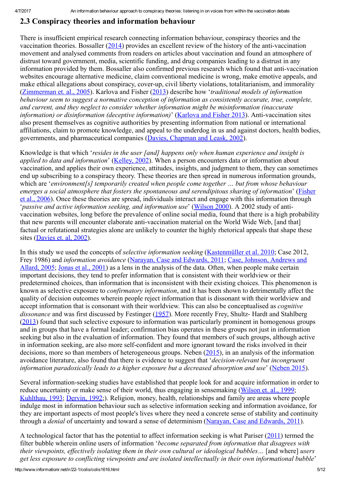### 2.3 Conspiracy theories and information behaviour

There is insufficient empirical research connecting information behaviour, conspiracy theories and the vaccination theories. Bossaller  $(2014)$  $(2014)$  provides an excellent review of the history of the anti-vaccination movement and analysed comments from readers on articles about vaccination and found an atmosphere of distrust toward government, media, scientific funding, and drug companies leading to a distrust in any information provided by them. Bossaller also confirmed previous research which found that anti-vaccination websites encourage alternative medicine, claim conventional medicine is wrong, make emotive appeals, and make ethical allegations about conspiracy, cover-up, civil liberty violations, totalitarianism, and immorality [\(Zimmerman](#page-10-12) et. al., 2005). Karlova and Fisher ([2013\)](#page-9-9) describe how '*traditional models of information behaviour seem to suggest a normative conception of information as consistently accurate, true, complete, and current, and they neglect to consider whether information might be misinformation (inaccurate information) or disinformation (deceptive information)*' (*Karlova and Fisher 2013*). Anti-vaccination sites also present themselves as cognitive authorities by presenting information from national or international affiliations, claim to promote knowledge, and appeal to the underdog in us and against doctors, health bodies, governments, and pharmaceutical companies (Davies, [Chapman](#page-9-10) and Leask, 2002).

Knowledge is that which '*resides in the user [and] happens only when human experience and insight is applied to data and information*' [\(Kelley,](#page-10-13) 2002). When a person encounters data or information about vaccination, and applies their own experience, attitudes, insights, and judgment to them, they can sometimes end up subscribing to a conspiracy theory. These theories are then spread in numerous information grounds, which are '*environment[s] temporarily created when people come together … but from whose behaviour emerges a social atmosphere that fosters the spontaneous and [serendipitous](#page-9-0) sharing of information*' (Fisher et al., 2006). Once these theories are spread, individuals interact and engage with this information through '*passive and active information seeking, and information use*' ([Wilson](#page-10-14) 2000). A 2002 study of antivaccination websites, long before the prevalence of online social media, found that there is a high probability that new parents will encounter elaborate anti-vaccination material on the World Wide Web, [and that] factual or refutational strategies alone are unlikely to counter the highly rhetorical appeals that shape these sites ([Davies](#page-9-10) et. al, 2002).

In this study we used the concepts of *selective information seeking* [\(Kastenmüller](#page-9-11) et al. 2010; Case 2012, Frey 1986) and *[information](#page-9-12) avoidance* (Narayan, Case and [Edwards,](#page-10-15) 2011; Case, Johnson, Andrews and Allard, 2005; [Jonas](#page-9-13) et al., 2001) as a lens in the analysis of the data. Often, when people make certain important decisions, they tend to prefer information that is consistent with their worldview or their predetermined choices, than information that is inconsistent with their existing choices. This phenomenon is known as selective exposure to *confirmatory information*, and it has been shown to detrimentally affect the quality of decision outcomes wherein people reject information that is dissonant with their worldview and accept information that is consonant with their worldview. This can also be conceptualised as *cognitive dissonance* and was first discussed by Festinger [\(1957](#page-9-14)). More recently Frey, Shultz- Hardt and Stahlberg [\(2013](#page-9-15)) found that such selective exposure to information was particularly prominent in homogenous groups and in groups that have a formal leader; confirmation bias operates in these groups not just in information seeking but also in the evaluation of information. They found that members of such groups, although active in information seeking, are also more self-confident and more ignorant toward the risks involved in their decisions, more so than members of heterogeneous groups. Neben [\(2015](#page-10-16)), in an analysis of the information avoidance literature, also found that there is evidence to suggest that '*decision-relevant but incongruent information paradoxically leads to a higher exposure but a decreased absorption and use*' ([Neben](#page-10-16) 2015).

Several information-seeking studies have established that people look for and acquire information in order to reduce uncertainty or make sense of their world, thus engaging in sensemaking [\(Wilson](#page-10-17) et. al., 1999; [Kuhlthau,](#page-10-18) 1993; [Dervin,](#page-9-16) 1992;). Religion, money, health, relationships and family are areas where people indulge most in information behaviour such as selective information seeking and information avoidance, for they are important aspects of most people's lives where they need a concrete sense of stability and continuity through a *denial* of uncertainty and toward a sense of determinism (Narayan, Case and [Edwards,](#page-10-15) 2011).

A technological factor that has the potential to affect information seeking is what Pariser [\(2011](#page-10-19)) termed the filter bubble wherein online users of information '*become separated from information that disagrees with their viewpoints, ef ectively isolating them in their own cultural or ideological bubbles…* [and where] *users get less exposure to conflicting viewpoints and are isolated intellectually in their own informational bubble*'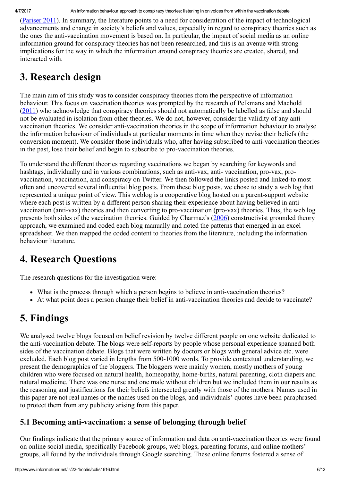[\(Pariser](#page-10-19) 2011). In summary, the literature points to a need for consideration of the impact of technological advancements and change in society's beliefs and values, especially in regard to conspiracy theories such as the ones the anti-vaccination movement is based on. In particular, the impact of social media as an online information ground for conspiracy theories has not been researched, and this is an avenue with strong implications for the way in which the information around conspiracy theories are created, shared, and interacted with.

## 3. Research design

The main aim of this study was to consider conspiracy theories from the perspective of information behaviour. This focus on vaccination theories was prompted by the research of Pelkmans and Machold [\(2011\)](#page-10-2) who acknowledge that conspiracy theories should not automatically be labelled as false and should not be evaluated in isolation from other theories. We do not, however, consider the validity of any antivaccination theories. We consider anti-vaccination theories in the scope of information behaviour to analyse the information behaviour of individuals at particular moments in time when they revise their beliefs (the conversion moment). We consider those individuals who, after having subscribed to anti-vaccination theories in the past, lose their belief and begin to subscribe to pro-vaccination theories.

To understand the different theories regarding vaccinations we began by searching for keywords and hashtags, individually and in various combinations, such as anti-vax, anti-vaccination, pro-vax, provaccination, vaccination, and conspiracy on Twitter. We then followed the links posted and linked-to most often and uncovered several influential blog posts. From these blog posts, we chose to study a web log that represented a unique point of view. This weblog is a cooperative blog hosted on a parent-support website where each post is written by a different person sharing their experience about having believed in antivaccination (anti-vax) theories and then converting to pro-vaccination (pro-vax) theories. Thus, the web log presents both sides of the vaccination theories. Guided by Charmaz's [\(2006](#page-9-17)) constructivist grounded theory approach, we examined and coded each blog manually and noted the patterns that emerged in an excel spreadsheet. We then mapped the coded content to theories from the literature, including the information behaviour literature.

## 4. Research Questions

The research questions for the investigation were:

- What is the process through which a person begins to believe in anti-vaccination theories?
- At what point does a person change their belief in anti-vaccination theories and decide to vaccinate?

## 5. Findings

We analysed twelve blogs focused on belief revision by twelve different people on one website dedicated to the anti-vaccination debate. The blogs were self-reports by people whose personal experience spanned both sides of the vaccination debate. Blogs that were written by doctors or blogs with general advice etc. were excluded. Each blog post varied in lengths from 500-1000 words. To provide contextual understanding, we present the demographics of the bloggers. The bloggers were mainly women, mostly mothers of young children who were focused on natural health, homeopathy, home-births, natural parenting, cloth diapers and natural medicine. There was one nurse and one male without children but we included them in our results as the reasoning and justifications for their beliefs intersected greatly with those of the mothers. Names used in this paper are not real names or the names used on the blogs, and individuals' quotes have been paraphrased to protect them from any publicity arising from this paper.

### 5.1 Becoming anti-vaccination: a sense of belonging through belief

Our findings indicate that the primary source of information and data on anti-vaccination theories were found on online social media, specifically Facebook groups, web blogs, parenting forums, and online mothers' groups, all found by the individuals through Google searching. These online forums fostered a sense of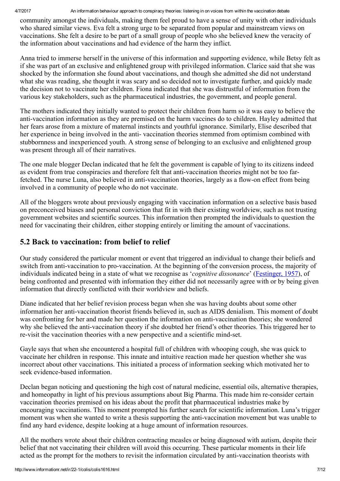4/7/2017 An information behaviour approach to conspiracy theories: listening in on voices from within the vaccination debate

community amongst the individuals, making them feel proud to have a sense of unity with other individuals who shared similar views. Eva felt a strong urge to be separated from popular and mainstream views on vaccinations. She felt a desire to be part of a small group of people who she believed knew the veracity of the information about vaccinations and had evidence of the harm they inflict.

Anna tried to immerse herself in the universe of this information and supporting evidence, while Betsy felt as if she was part of an exclusive and enlightened group with privileged information. Clarice said that she was shocked by the information she found about vaccinations, and though she admitted she did not understand what she was reading, she thought it was scary and so decided not to investigate further, and quickly made the decision not to vaccinate her children. Fiona indicated that she was distrustful of information from the various key stakeholders, such as the pharmaceutical industries, the government, and people general.

The mothers indicated they initially wanted to protect their children from harm so it was easy to believe the anti-vaccination information as they are premised on the harm vaccines do to children. Hayley admitted that her fears arose from a mixture of maternal instincts and youthful ignorance. Similarly, Elise described that her experience in being involved in the anti-vaccination theories stemmed from optimism combined with stubbornness and inexperienced youth. A strong sense of belonging to an exclusive and enlightened group was present through all of their narratives.

The one male blogger Declan indicated that he felt the government is capable of lying to its citizens indeed as evident from true conspiracies and therefore felt that anti-vaccination theories might not be too farfetched. The nurse Luna, also believed in anti-vaccination theories, largely as a flow-on effect from being involved in a community of people who do not vaccinate.

All of the bloggers wrote about previously engaging with vaccination information on a selective basis based on preconceived biases and personal conviction that fit in with their existing worldview, such as not trusting government websites and scientific sources. This information then prompted the individuals to question the need for vaccinating their children, either stopping entirely or limiting the amount of vaccinations.

### 5.2 Back to vaccination: from belief to relief

Our study considered the particular moment or event that triggered an individual to change their beliefs and switch from anti-vaccination to pro-vaccination. At the beginning of the conversion process, the majority of individuals indicated being in a state of what we recognise as '*cognitive dissonance*' ([Festinger,](#page-9-14) 1957), of being confronted and presented with information they either did not necessarily agree with or by being given information that directly conflicted with their worldview and beliefs.

Diane indicated that her belief revision process began when she was having doubts about some other information her anti-vaccination theorist friends believed in, such as AIDS denialism. This moment of doubt was confronting for her and made her question the information on anti-vaccination theories; she wondered why she believed the antivaccination theory if she doubted her friend's other theories. This triggered her to re-visit the vaccination theories with a new perspective and a scientific mind-set.

Gayle says that when she encountered a hospital full of children with whooping cough, she was quick to vaccinate her children in response. This innate and intuitive reaction made her question whether she was incorrect about other vaccinations. This initiated a process of information seeking which motivated her to seek evidence-based information

Declan began noticing and questioning the high cost of natural medicine, essential oils, alternative therapies, and homeopathy in light of his previous assumptions about Big Pharma. This made him reconsider certain vaccination theories premised on his ideas about the profit that pharmaceutical industries make by encouraging vaccinations. This moment prompted his further search for scientific information. Luna's trigger moment was when she wanted to write a thesis supporting the anti-vaccination movement but was unable to find any hard evidence, despite looking at a huge amount of information resources.

All the mothers wrote about their children contracting measles or being diagnosed with autism, despite their belief that not vaccinating their children will avoid this occurring. These particular moments in their life acted as the prompt for the mothers to revisit the information circulated by anti-vaccination theorists with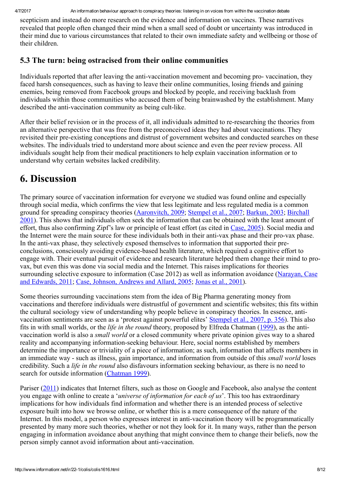scepticism and instead do more research on the evidence and information on vaccines. These narratives revealed that people often changed their mind when a small seed of doubt or uncertainty was introduced in their mind due to various circumstances that related to their own immediate safety and wellbeing or those of their children.

### 5.3 The turn: being ostracised from their online communities

Individuals reported that after leaving the anti-vaccination movement and becoming pro-vaccination, they faced harsh consequences, such as having to leave their online communities, losing friends and gaining enemies, being removed from Facebook groups and blocked by people, and receiving backlash from individuals within those communities who accused them of being brainwashed by the establishment. Many described the anti-vaccination community as being cult-like.

After their belief revision or in the process of it, all individuals admitted to re-researching the theories from an alternative perspective that was free from the preconceived ideas they had about vaccinations. They revisited their pre-existing conceptions and distrust of government websites and conducted searches on these websites. The individuals tried to understand more about science and even the peer review process. All individuals sought help from their medical practitioners to help explain vaccination information or to understand why certain websites lacked credibility.

## 6. Discussion

The primary source of vaccination information for everyone we studied was found online and especially through social media, which confirms the view that less legitimate and less regulated media is a common ground for spreading conspiracy theories [\(Aaronvitch,](#page-8-3) 2009; [Stempel](#page-10-3) et al., 2007; [Barkun,](#page-8-1) 2003; Birchall 2001). This shows that individuals often seek the information that can be obtained with the least amount of effort, thus also confirming Zipf's law or principle of least effort (as cited in [Case,](#page-9-18) 2005). Social media and the Internet were the main source for these individuals both in their anti-vax phase and their pro-vax phase. In the anti-vax phase, they selectively exposed themselves to information that supported their preconclusions, consciously avoiding evidence-based health literature, which required a cognitive effort to engage with. Their eventual pursuit of evidence and research literature helped them change their mind to provax, but even this was done via social media and the Internet. This raises implications for theories [surrounding](#page-10-15) selective exposure to information (Case 2012) as well as information avoidance (Narayan, Case and Edwards, 2011; Case, Johnson, [Andrews](#page-9-12) and Allard, 2005; [Jonas](#page-9-13) et al., 2001).

Some theories surrounding vaccinations stem from the idea of Big Pharma generating money from vaccinations and therefore individuals were distrustful of government and scientific websites; this fits within the cultural sociology view of understanding why people believe in conspiracy theories. In essence, antivaccination sentiments are seen as a 'protest against powerful elites' [Stempel](#page-10-3) et al., 2007, p. 356). This also fits in with small worlds, or the *life in the round* theory, proposed by Elfreda Chatman [\(1999](#page-9-19)), as the antivaccination world is also a *small world* or a closed community where private opinion gives way to a shared reality and accompanying information-seeking behaviour. Here, social norms established by members determine the importance or triviality of a piece of information; as such, information that affects members in an immediate way - such as illness, gain importance, and information from outside of this *small world* loses credibility. Such a *life in the round* also disfavours information seeking behaviour, as there is no need to search for outside information [\(Chatman](#page-9-19) 1999).

Pariser ([2011\)](#page-10-19) indicates that Internet filters, such as those on Google and Facebook, also analyse the content you engage with online to create a '*universe of information for each of us*'. This too has extraordinary implications for how individuals find information and whether there is an intended process of selective exposure built into how we browse online, or whether this is a mere consequence of the nature of the Internet. In this model, a person who expresses interest in anti-vaccination theory will be programmatically presented by many more such theories, whether or not they look for it. In many ways, rather than the person engaging in information avoidance about anything that might convince them to change their beliefs, now the person simply cannot avoid information about anti-vaccination.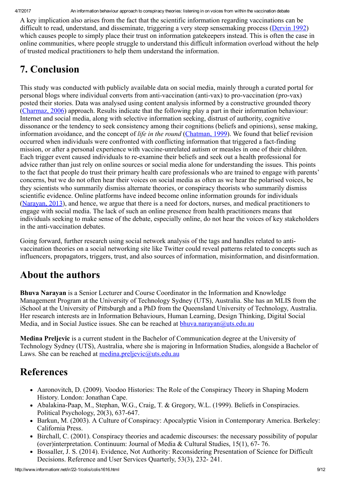A key implication also arises from the fact that the scientific information regarding vaccinations can be difficult to read, understand, and disseminate, triggering a very steep sensemaking process ([Dervin](#page-9-16) 1992) which causes people to simply place their trust on information gatekeepers instead. This is often the case in online communities, where people struggle to understand this difficult information overload without the help of trusted medical practitioners to help them understand the information.

## 7. Conclusion

This study was conducted with publicly available data on social media, mainly through a curated portal for personal blogs where individual converts from anti-vaccination (anti-vax) to pro-vaccination (pro-vax) posted their stories. Data was analysed using content analysis informed by a constructive grounded theory [\(Charmaz,](#page-9-17) 2006) approach. Results indicate that the following play a part in their information behaviour: Internet and social media, along with selective information seeking, distrust of authority, cognitive dissonance or the tendency to seek consistency among their cognitions (beliefs and opinions), sense making, information avoidance, and the concept of *life in the round* ([Chatman,](#page-9-19) 1999). We found that belief revision occurred when individuals were confronted with conflicting information that triggered a fact-finding mission, or after a personal experience with vaccine-unrelated autism or measles in one of their children. Each trigger event caused individuals to reexamine their beliefs and seek out a health professional for advice rather than just rely on online sources or social media alone for understanding the issues. This points to the fact that people do trust their primary health care professionals who are trained to engage with parents' concerns, but we do not often hear their voices on social media as often as we hear the polarised voices, be they scientists who summarily dismiss alternate theories, or conspiracy theorists who summarily dismiss scientific evidence. Online platforms have indeed become online information grounds for individuals [\(Narayan,](#page-10-0) 2013), and hence, we argue that there is a need for doctors, nurses, and medical practitioners to engage with social media. The lack of such an online presence from health practitioners means that individuals seeking to make sense of the debate, especially online, do not hear the voices of key stakeholders in the anti-vaccination debates.

Going forward, further research using social network analysis of the tags and handles related to antivaccination theories on a social networking site like Twitter could reveal patterns related to concepts such as influencers, propagators, triggers, trust, and also sources of information, misinformation, and disinformation.

## <span id="page-8-0"></span>About the authors

Bhuva Narayan is a Senior Lecturer and Course Coordinator in the Information and Knowledge Management Program at the University of Technology Sydney (UTS), Australia. She has an MLIS from the iSchool at the University of Pittsburgh and a PhD from the Queensland University of Technology, Australia. Her research interests are in Information Behaviours, Human Learning, Design Thinking, Digital Social Media, and in Social Justice issues. She can be reached at [bhuva.narayan@uts.edu.au](mailto:bhuva.narayan@uts.edu.au)

Medina Preljevic is a current student in the Bachelor of Communication degree at the University of Technology Sydney (UTS), Australia, where she is majoring in Information Studies, alongside a Bachelor of Laws. She can be reached at medina.prelievic@uts.edu.au

## **References**

- <span id="page-8-2"></span>Aaronovitch, D. (2009). Voodoo Histories: The Role of the Conspiracy Theory in Shaping Modern History. London: Jonathan Cape.
- <span id="page-8-4"></span>• Abalakina-Paap, M., Stephan, W.G., Craig, T. & Gregory, W.L. (1999). Beliefs in Conspiracies. Political Psychology,  $20(3)$ , 637-647.
- <span id="page-8-1"></span>Barkun, M. (2003). A Culture of Conspiracy: Apocalyptic Vision in Contemporary America. Berkeley: California Press.
- <span id="page-8-3"></span>Birchall, C. (2001). Conspiracy theories and academic discourses: the necessary possibility of popular (over)interpretation. Continuum: Journal of Media & Cultural Studies, 15(1), 67 76.
- <span id="page-8-5"></span>Bossaller, J. S. (2014). Evidence, Not Authority: Reconsidering Presentation of Science for Difficult Decisions. Reference and User Services Quarterly, 53(3), 232-241.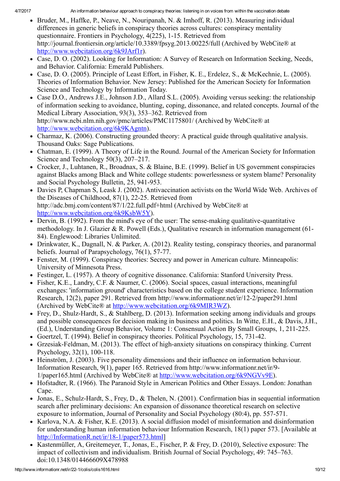- <span id="page-9-2"></span>Bruder, M., Haffke, P., Neave, N., Nouripanah, N. & Imhoff, R. (2013). Measuring individual differences in generic beliefs in conspiracy theories across cultures: conspiracy mentality questionnaire. Frontiers in Psychology, 4(225), 1-15. Retrieved from http://journal.frontiersin.org/article/10.3389/fpsyg.2013.00225/full (Archived by WebCite® at [http://www.webcitation.org/6k9JArf1r\)](http://www.webcitation.org/6k9JArf1r).
- Case, D. O. (2002). Looking for Information: A Survey of Research on Information Seeking, Needs, and Behavior. California: Emerald Publishers.
- <span id="page-9-18"></span>Case, D. O. (2005). Principle of Least Effort, in Fisher, K. E., Erdelez, S., & McKechnie, L. (2005). Theories of Information Behavior. New Jersey: Published for the American Society for Information Science and Technology by Information Today.
- <span id="page-9-12"></span>• Case D.O., Andrews J.E., Johnson J.D., Allard S.L. (2005). Avoiding versus seeking: the relationship of information seeking to avoidance, blunting, coping, dissonance, and related concepts. Journal of the Medical Library Association, 93(3), 353–362. Retrieved from http://www.ncbi.nlm.nih.gov/pmc/articles/PMC1175801/ (Archived by WebCite® at [http://www.webcitation.org/6k9KAgntn\)](http://www.webcitation.org/6k9KAgntn).
- <span id="page-9-17"></span>• Charmaz, K. (2006). Constructing grounded theory: A practical guide through qualitative analysis. Thousand Oaks: Sage Publications.
- <span id="page-9-19"></span>Chatman, E. (1999). A Theory of Life in the Round. Journal of the American Society for Information Science and Technology 50(3), 207–217.
- <span id="page-9-3"></span>Crocker, J., Luhtanen, R., Broadnax, S. & Blaine, B.E. (1999). Belief in US government conspiracies against Blacks among Black and White college students: powerlessness or system blame? Personality and Social Psychology Bulletin, 25, 941-953.
- <span id="page-9-10"></span>Davies P, Chapman S, Leask J. (2002). Antivaccination activists on the World Wide Web. Archives of the Diseases of Childhood,  $87(1)$ ,  $22-25$ . Retrieved from http://adc.bmj.com/content/87/1/22.full.pdf+html (Archived by WebCite® at <http://www.webcitation.org/6k9KsbW5Y>).
- <span id="page-9-16"></span> $\bullet$  Dervin, B. (1992). From the mind's eye of the user: The sense-making qualitative-quantitative methodology. In J. Glazier & R. Powell (Eds.), Qualitative research in information management (61 84). Englewood: Libraries Unlimited.
- <span id="page-9-8"></span>Drinkwater, K., Dagnall, N. & Parker, A. (2012). Reality testing, conspiracy theories, and paranormal beliefs. Journal of Parapsychology,  $76(1)$ ,  $57-77$ .
- <span id="page-9-7"></span>• Fenster, M. (1999). Conspiracy theories: Secrecy and power in American culture. Minneapolis: University of Minnesota Press.
- <span id="page-9-14"></span>Festinger, L. (1957). A theory of cognitive dissonance. California: Stanford University Press.
- <span id="page-9-0"></span>Fisher, K.E., Landry, C.F. & Naumer, C. (2006). Social spaces, casual interactions, meaningful exchanges: 'information ground' characteristics based on the college student experience. Information Research, 12(2), paper 291. Retrieved from http://www.informationr.net/ir/122/paper291.html (Archived by WebCite® at <http://www.webcitation.org/6k9MIR3WZ>).
- <span id="page-9-15"></span>Frey, D., Shulz-Hardt, S., & Stahlberg, D. (2013). Information seeking among individuals and groups and possible consequences for decision making in business and politics. In Witte, E.H., & Davis, J.H., (Ed.), Understanding Group Behavior, Volume 1: Consensual Action By Small Groups, 1, 211-225.
- <span id="page-9-4"></span>Goertzel, T. (1994). Belief in conspiracy theories. Political Psychology, 15, 731-42.
- <span id="page-9-5"></span>Grzesiak-Feldman, M. (2013). The effect of high-anxiety situations on conspiracy thinking. Current Psychology, 32(1), 100-118.
- <span id="page-9-6"></span>• Heinström, J. (2003). Five personality dimensions and their influence on information behaviour. Information Research, 9(1), paper 165. Retrieved from http://www.informationr.net/ir/9 1/paper165.html (Archived by WebCite® at [http://www.webcitation.org/6k9NGVv9E\)](http://www.webcitation.org/6k9NGVv9E).
- <span id="page-9-1"></span>• Hofstadter, R. (1966). The Paranoid Style in American Politics and Other Essays. London: Jonathan Cape.
- <span id="page-9-13"></span>• Jonas, E., Schulz-Hardt, S., Frey, D., & Thelen, N. (2001). Confirmation bias in sequential information search after preliminary decisions: An expansion of dissonance theoretical research on selective exposure to information, Journal of Personality and Social Psychology (80:4), pp. 557-571.
- <span id="page-9-9"></span>• Karlova, N.A. & Fisher, K.E. (2013). A social diffusion model of misinformation and disinformation for understanding human information behaviour Information Research, 18(1) paper 573. [Available at http://InformationR.net/ir/18-1/paper573.html]
- <span id="page-9-11"></span>• Kastenmüller, A, Greitemeyer, T., Jonas, E., Fischer, P. & Frey, D. (2010), Selective exposure: The impact of collectivism and individualism. British Journal of Social Psychology, 49: 745–763. doi:10.1348/014466609X478988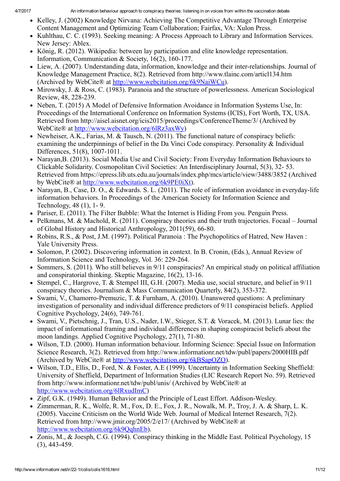- <span id="page-10-13"></span>• Kelley, J. (2002) Knowledge Nirvana: Achieving The Competitive Advantage Through Enterprise Content Management and Optimizing Team Collaboration; Fairfax, VA: Xulon Press.
- <span id="page-10-18"></span>• Kuhlthau, C. C. (1993). Seeking meaning: A Process Approach to Library and Information Services. New Jersey: Ablex.
- <span id="page-10-5"></span>• König, R. (2012). Wikipedia: between lay participation and elite knowledge representation. Information, Communication & Society,  $16(2)$ ,  $160-177$ .
- Liew, A. (2007). Understanding data, information, knowledge and their inter-relationships. Journal of Knowledge Management Practice, 8(2). Retrieved from http://www.tlainc.com/articl134.htm (Archived by WebCite® at [http://www.webcitation.org/6k9NaiWCu\)](http://www.webcitation.org/6k9NaiWCu).
- <span id="page-10-8"></span>• Mirowsky, J. & Ross, C. (1983). Paranoia and the structure of powerlessness. American Sociological Review, 48, 228-239.
- <span id="page-10-16"></span>• Neben, T. (2015) A Model of Defensive Information Avoidance in Information Systems Use, In: Proceedings of the International Conference on Information Systems (ICIS), Fort Worth, TX, USA. Retrieved from http://aisel.aisnet.org/icis2015/proceedings/ConferenceTheme/3/ (Archived by WebCite® at <http://www.webcitation.org/6lRz3axWy>)
- <span id="page-10-9"></span>• Newheiser, A.K., Farias, M. & Tausch, N. (2011). The functional nature of conspiracy beliefs: examining the underpinnings of belief in the Da Vinci Code conspiracy. Personality & Individual Differences, 51(8), 1007-1011.
- <span id="page-10-0"></span>• Narayan, B. (2013). Social Media Use and Civil Society: From Everyday Information Behaviours to Clickable Solidarity. Cosmopolitan Civil Societies: An Interdisciplinary Journal, 5(3), 32 53. Retrieved from https://epress.lib.uts.edu.au/journals/index.php/mcs/article/view/3488/3852 (Archived by WebCite® at [http://www.webcitation.org/6k9PE0iXt\)](http://www.webcitation.org/6k9PE0iXt).
- <span id="page-10-15"></span>• Narayan, B., Case, D. O., & Edwards. S. L. (2011). The role of information avoidance in everyday-life information behaviors. In Proceedings of the American Society for Information Science and Technology,  $48(1)$ , 1-9.
- <span id="page-10-19"></span>• Pariser, E. (2011). The Filter Bubble: What the Internet is Hiding From you. Penguin Press.
- <span id="page-10-2"></span>Pelkmans, M. & Machold, R. (2011). Conspiracy theories and their truth trajectories. Focaal – Journal of Global History and Historical Anthropology, 2011(59), 66-80.
- <span id="page-10-11"></span>• Robins, R.S., & Post, J.M. (1997). Political Paranoia : The Psychopolitics of Hatred, New Haven : Yale University Press.
- <span id="page-10-10"></span>• Solomon, P. (2002). Discovering information in context. In B. Cronin, (Eds.), Annual Review of Information Science and Technology, Vol. 36: 229-264.
- <span id="page-10-4"></span>• Sommers, S. (2011). Who still believes in 9/11 conspiracies? An empirical study on political affiliation and conspiratorial thinking. Skeptic Magazine,  $16(2)$ ,  $13-16$ .
- <span id="page-10-3"></span>Stempel, C., Hargrove, T. & Stempel III, G.H. (2007). Media use, social structure, and belief in 9/11  $\bullet$ conspiracy theories. Journalism & Mass Communication Quarterly, 84(2), 353-372.
- <span id="page-10-7"></span>• Swami, V., Chamorro-Premuzic, T. & Furnham, A. (2010). Unanswered questions: A preliminary investigation of personality and individual difference predictors of 9/11 conspiracist beliefs. Applied Cognitive Psychology,  $24(6)$ ,  $749-761$ .
- <span id="page-10-6"></span>• Swami, V., Pietschnig, J., Tran, U.S., Nader, I.W., Stieger, S.T. & Voracek, M. (2013). Lunar lies: the impact of informational framing and individual differences in shaping conspiracist beliefs about the moon landings. Applied Cognitive Psychology, 27(1), 71-80.
- <span id="page-10-14"></span>Wilson, T.D. (2000). Human information behaviour. Informing Science: Special Issue on Information Science Research, 3(2). Retrieved from http://www.informationr.net/tdw/publ/papers/2000HIB.pdf (Archived by WebCite® at [http://www.webcitation.org/6kBSapOZO\)](http://www.webcitation.org/6kBSapOZO).
- <span id="page-10-17"></span>Wilson, T.D., Ellis, D., Ford, N. & Foster, A.E (1999). Uncertainty in Information Seeking Sheffield: University of Sheffield, Department of Information Studies (LIC Research Report No. 59). Retrieved from http://www.informationr.net/tdw/publ/unis/ (Archived by WebCite® at [http://www.webcitation.org/6lRxudImC\)](http://www.webcitation.org/6lRxudImC)
- Zipf, G.K. (1949). Human Behavior and the Principle of Least Effort. Addison-Wesley.
- <span id="page-10-12"></span>• Zimmerman, R. K., Wolfe, R. M., Fox, D. E., Fox, J. R., Nowalk, M. P., Troy, J. A. & Sharp, L. K. (2005). Vaccine Criticism on the World Wide Web. Journal of Medical Internet Research, 7(2). Retrieved from http://www.jmir.org/2005/2/e17/ (Archived by WebCite® at http://www.webcitation.org/6k9OqhnEb).
- <span id="page-10-1"></span>• Zonis, M., & Joesph, C.G. (1994). Conspiracy thinking in the Middle East. Political Psychology, 15  $(3)$ , 443-459.